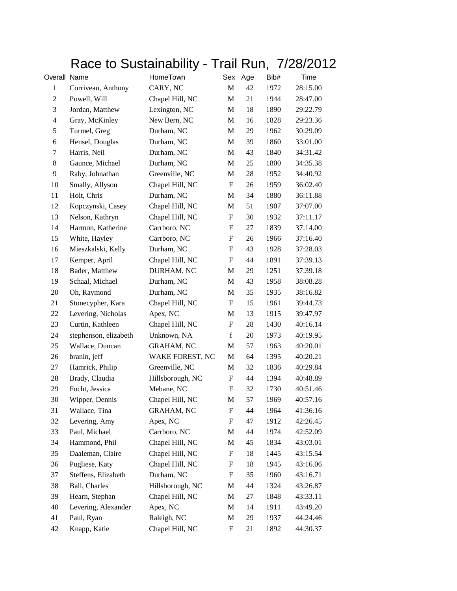## Race to Sustainability - Trail Run, 7/28/2012

| Overall Name             |                       | HomeTown          |                           | Sex Age | Bib# | Time     |
|--------------------------|-----------------------|-------------------|---------------------------|---------|------|----------|
| $\mathbf{1}$             | Corriveau, Anthony    | CARY, NC          | M                         | 42      | 1972 | 28:15.00 |
| 2                        | Powell, Will          | Chapel Hill, NC   | M                         | 21      | 1944 | 28:47.00 |
| 3                        | Jordan, Matthew       | Lexington, NC     | ${\bf M}$                 | 18      | 1890 | 29:22.79 |
| $\overline{\mathcal{L}}$ | Gray, McKinley        | New Bern, NC      | M                         | 16      | 1828 | 29:23.36 |
| 5                        | Turmel, Greg          | Durham, NC        | M                         | 29      | 1962 | 30:29.09 |
| 6                        | Hensel, Douglas       | Durham, NC        | M                         | 39      | 1860 | 33:01.00 |
| 7                        | Harris, Neil          | Durham, NC        | M                         | 43      | 1840 | 34:31.42 |
| $8\,$                    | Gaunce, Michael       | Durham, NC        | ${\bf M}$                 | 25      | 1800 | 34:35.38 |
| 9                        | Raby, Johnathan       | Greenville, NC    | M                         | 28      | 1952 | 34:40.92 |
| 10                       | Smally, Allyson       | Chapel Hill, NC   | F                         | 26      | 1959 | 36:02.40 |
| 11                       | Holt, Chris           | Durham, NC        | M                         | 34      | 1880 | 36:11.88 |
| 12                       | Kopczynski, Casey     | Chapel Hill, NC   | M                         | 51      | 1907 | 37:07.00 |
| 13                       | Nelson, Kathryn       | Chapel Hill, NC   | $\boldsymbol{\mathrm{F}}$ | 30      | 1932 | 37:11.17 |
| 14                       | Harmon, Katherine     | Carrboro, NC      | F                         | 27      | 1839 | 37:14.00 |
| 15                       | White, Hayley         | Carrboro, NC      | F                         | 26      | 1966 | 37:16.40 |
| 16                       | Mieszkalski, Kelly    | Durham, NC        | $\boldsymbol{\mathrm{F}}$ | 43      | 1928 | 37:28.03 |
| 17                       | Kemper, April         | Chapel Hill, NC   | F                         | 44      | 1891 | 37:39.13 |
| 18                       | Bader, Matthew        | DURHAM, NC        | ${\bf M}$                 | 29      | 1251 | 37:39.18 |
| 19                       | Schaal, Michael       | Durham, NC        | M                         | 43      | 1958 | 38:08.28 |
| 20                       | Oh, Raymond           | Durham, NC        | M                         | 35      | 1935 | 38:16.82 |
| 21                       | Stonecypher, Kara     | Chapel Hill, NC   | $\boldsymbol{\mathrm{F}}$ | 15      | 1961 | 39:44.73 |
| 22                       | Levering, Nicholas    | Apex, NC          | M                         | 13      | 1915 | 39:47.97 |
| 23                       | Curtin, Kathleen      | Chapel Hill, NC   | $\boldsymbol{\mathrm{F}}$ | 28      | 1430 | 40:16.14 |
| 24                       | stephenson, elizabeth | Unknown, NA       | $\mathbf f$               | 20      | 1973 | 40:19.95 |
| 25                       | Wallace, Duncan       | <b>GRAHAM, NC</b> | M                         | 57      | 1963 | 40:20.01 |
| 26                       | branin, jeff          | WAKE FOREST, NC   | M                         | 64      | 1395 | 40:20.21 |
| 27                       | Hamrick, Philip       | Greenville, NC    | M                         | 32      | 1836 | 40:29.84 |
| 28                       | Brady, Claudia        | Hillsborough, NC  | $\boldsymbol{\mathrm{F}}$ | 44      | 1394 | 40:48.89 |
| 29                       | Focht, Jessica        | Mebane, NC        | F                         | 32      | 1730 | 40:51.46 |
| 30                       | Wipper, Dennis        | Chapel Hill, NC   | M                         | 57      | 1969 | 40:57.16 |
| 31                       | Wallace, Tina         | <b>GRAHAM, NC</b> | F                         | 44      | 1964 | 41:36.16 |
| 32                       | Levering, Amy         | Apex, NC          | F                         | 47      | 1912 | 42:26.45 |
| 33                       | Paul, Michael         | Carrboro, NC      | M                         | 44      | 1974 | 42:52.09 |
| 34                       | Hammond, Phil         | Chapel Hill, NC   | M                         | 45      | 1834 | 43:03.01 |
| 35                       | Daaleman, Claire      | Chapel Hill, NC   | $\boldsymbol{\mathrm{F}}$ | 18      | 1445 | 43:15.54 |
| 36                       | Pugliese, Katy        | Chapel Hill, NC   | F                         | 18      | 1945 | 43:16.06 |
| 37                       | Steffens, Elizabeth   | Durham, NC        | F                         | 35      | 1960 | 43:16.71 |
| 38                       | Ball, Charles         | Hillsborough, NC  | M                         | 44      | 1324 | 43:26.87 |
| 39                       | Hearn, Stephan        | Chapel Hill, NC   | M                         | 27      | 1848 | 43:33.11 |
| 40                       | Levering, Alexander   | Apex, NC          | M                         | 14      | 1911 | 43:49.20 |
| 41                       | Paul, Ryan            | Raleigh, NC       | M                         | 29      | 1937 | 44:24.46 |
| 42                       | Knapp, Katie          | Chapel Hill, NC   | $\boldsymbol{\mathrm{F}}$ | 21      | 1892 | 44:30.37 |